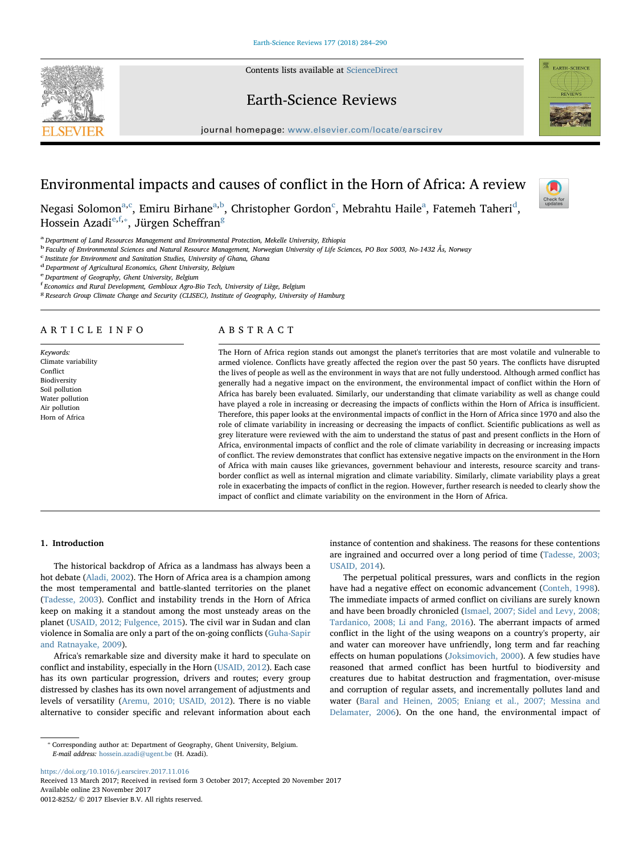## Earth-Science Reviews

Contents lists available at [ScienceDirect](http://www.sciencedirect.com/science/journal/00128252)

journal homepage: [www.elsevier.com/locate/earscirev](https://www.elsevier.com/locate/earscirev)



# Environmental impacts and causes of conflict in the Horn of Africa: A review



Neg[a](#page-0-0)si Solomon $\mathrm{^{a,c}}$  $\mathrm{^{a,c}}$  $\mathrm{^{a,c}}$ , Emiru Birhane $\mathrm{^{a,b}}$  $\mathrm{^{a,b}}$  $\mathrm{^{a,b}}$  $\mathrm{^{a,b}}$ , Christopher Gor[d](#page-0-3)on $\mathrm{^c}$  $\mathrm{^c}$  $\mathrm{^c}$ , Mebrahtu Haile $\mathrm{^a}$ , Fatemeh Taheri $\mathrm{^d}$ , Hossein Azadi[e,](#page-0-4) [f,](#page-0-5)\*, Jür[g](#page-0-7)en Scheffran<sup>g</sup>

<span id="page-0-0"></span>a Department of Land Resources Management and Environmental Protection, Mekelle University, Ethiopia

<span id="page-0-2"></span><sup>b</sup> Faculty of Environmental Sciences and Natural Resource Management, Norwegian University of Life Sciences, PO Box 5003, No-1432 Ås, Norway

<span id="page-0-1"></span>c Institute for Environment and Sanitation Studies, University of Ghana, Ghana

<span id="page-0-3"></span><sup>d</sup> Department of Agricultural Economics, Ghent University, Belgium

<span id="page-0-4"></span>e Department of Geography, Ghent University, Belgium

<span id="page-0-5"></span>f Economics and Rural Development, Gembloux Agro-Bio Tech, University of Liège, Belgium

<span id="page-0-7"></span><sup>8</sup> Research Group Climate Change and Security (CLISEC), Institute of Geography, University of Hamburg

#### ARTICLE INFO

Keywords: Climate variability Conflict Biodiversity Soil pollution Water pollution Air pollution Horn of Africa

#### ABSTRACT

The Horn of Africa region stands out amongst the planet's territories that are most volatile and vulnerable to armed violence. Conflicts have greatly affected the region over the past 50 years. The conflicts have disrupted the lives of people as well as the environment in ways that are not fully understood. Although armed conflict has generally had a negative impact on the environment, the environmental impact of conflict within the Horn of Africa has barely been evaluated. Similarly, our understanding that climate variability as well as change could have played a role in increasing or decreasing the impacts of conflicts within the Horn of Africa is insufficient. Therefore, this paper looks at the environmental impacts of conflict in the Horn of Africa since 1970 and also the role of climate variability in increasing or decreasing the impacts of conflict. Scientific publications as well as grey literature were reviewed with the aim to understand the status of past and present conflicts in the Horn of Africa, environmental impacts of conflict and the role of climate variability in decreasing or increasing impacts of conflict. The review demonstrates that conflict has extensive negative impacts on the environment in the Horn of Africa with main causes like grievances, government behaviour and interests, resource scarcity and transborder conflict as well as internal migration and climate variability. Similarly, climate variability plays a great role in exacerbating the impacts of conflict in the region. However, further research is needed to clearly show the impact of conflict and climate variability on the environment in the Horn of Africa.

#### 1. Introduction

The historical backdrop of Africa as a landmass has always been a hot debate [\(Aladi, 2002](#page-5-0)). The Horn of Africa area is a champion among the most temperamental and battle-slanted territories on the planet ([Tadesse, 2003\)](#page-6-0). Conflict and instability trends in the Horn of Africa keep on making it a standout among the most unsteady areas on the planet ([USAID, 2012; Fulgence, 2015](#page-6-1)). The civil war in Sudan and clan violence in Somalia are only a part of the on-going conflicts [\(Guha-Sapir](#page-6-2) [and Ratnayake, 2009](#page-6-2)).

Africa's remarkable size and diversity make it hard to speculate on conflict and instability, especially in the Horn [\(USAID, 2012\)](#page-6-1). Each case has its own particular progression, drivers and routes; every group distressed by clashes has its own novel arrangement of adjustments and levels of versatility [\(Aremu, 2010; USAID, 2012](#page-5-1)). There is no viable alternative to consider specific and relevant information about each instance of contention and shakiness. The reasons for these contentions are ingrained and occurred over a long period of time [\(Tadesse, 2003;](#page-6-0) [USAID, 2014\)](#page-6-0).

The perpetual political pressures, wars and conflicts in the region have had a negative effect on economic advancement [\(Conteh, 1998](#page-5-2)). The immediate impacts of armed conflict on civilians are surely known and have been broadly chronicled ([Ismael, 2007; Sidel and Levy, 2008;](#page-6-3) [Tardanico, 2008; Li and Fang, 2016](#page-6-3)). The aberrant impacts of armed conflict in the light of the using weapons on a country's property, air and water can moreover have unfriendly, long term and far reaching effects on human populations ([Joksimovich, 2000](#page-6-4)). A few studies have reasoned that armed conflict has been hurtful to biodiversity and creatures due to habitat destruction and fragmentation, over-misuse and corruption of regular assets, and incrementally pollutes land and water [\(Baral and Heinen, 2005; Eniang et al., 2007; Messina and](#page-5-3) [Delamater, 2006\)](#page-5-3). On the one hand, the environmental impact of

<https://doi.org/10.1016/j.earscirev.2017.11.016>

Received 13 March 2017; Received in revised form 3 October 2017; Accepted 20 November 2017 Available online 23 November 2017 0012-8252/ © 2017 Elsevier B.V. All rights reserved.

<span id="page-0-6"></span><sup>⁎</sup> Corresponding author at: Department of Geography, Ghent University, Belgium. E-mail address: [hossein.azadi@ugent.be](mailto:hossein.azadi@ugent.be) (H. Azadi).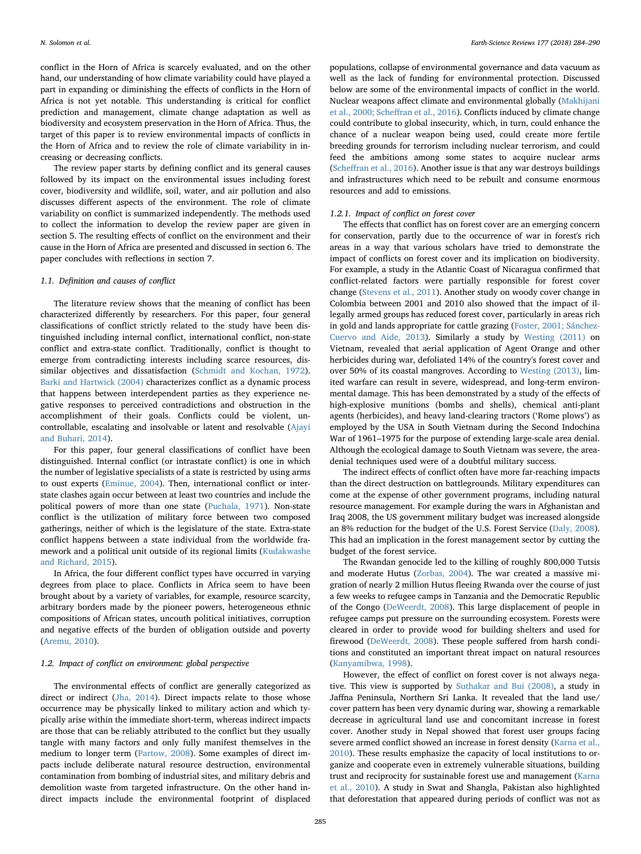conflict in the Horn of Africa is scarcely evaluated, and on the other hand, our understanding of how climate variability could have played a part in expanding or diminishing the effects of conflicts in the Horn of Africa is not yet notable. This understanding is critical for conflict prediction and management, climate change adaptation as well as biodiversity and ecosystem preservation in the Horn of Africa. Thus, the target of this paper is to review environmental impacts of conflicts in the Horn of Africa and to review the role of climate variability in increasing or decreasing conflicts.

The review paper starts by defining conflict and its general causes followed by its impact on the environmental issues including forest cover, biodiversity and wildlife, soil, water, and air pollution and also discusses different aspects of the environment. The role of climate variability on conflict is summarized independently. The methods used to collect the information to develop the review paper are given in section 5. The resulting effects of conflict on the environment and their cause in the Horn of Africa are presented and discussed in section 6. The paper concludes with reflections in section 7.

#### 1.1. Definition and causes of conflict

The literature review shows that the meaning of conflict has been characterized differently by researchers. For this paper, four general classifications of conflict strictly related to the study have been distinguished including internal conflict, international conflict, non-state conflict and extra-state conflict. Traditionally, conflict is thought to emerge from contradicting interests including scarce resources, dissimilar objectives and dissatisfaction [\(Schmidt and Kochan, 1972](#page-6-5)). [Barki and Hartwick \(2004\)](#page-5-4) characterizes conflict as a dynamic process that happens between interdependent parties as they experience negative responses to perceived contradictions and obstruction in the accomplishment of their goals. Conflicts could be violent, uncontrollable, escalating and insolvable or latent and resolvable [\(Ajayi](#page-5-5) [and Buhari, 2014\)](#page-5-5).

For this paper, four general classifications of conflict have been distinguished. Internal conflict (or intrastate conflict) is one in which the number of legislative specialists of a state is restricted by using arms to oust experts ([Eminue, 2004](#page-5-6)). Then, international conflict or interstate clashes again occur between at least two countries and include the political powers of more than one state [\(Puchala, 1971\)](#page-6-6). Non-state conflict is the utilization of military force between two composed gatherings, neither of which is the legislature of the state. Extra-state conflict happens between a state individual from the worldwide framework and a political unit outside of its regional limits [\(Kudakwashe](#page-6-7) [and Richard, 2015\)](#page-6-7).

In Africa, the four different conflict types have occurred in varying degrees from place to place. Conflicts in Africa seem to have been brought about by a variety of variables, for example, resource scarcity, arbitrary borders made by the pioneer powers, heterogeneous ethnic compositions of African states, uncouth political initiatives, corruption and negative effects of the burden of obligation outside and poverty ([Aremu, 2010](#page-5-1)).

#### 1.2. Impact of conflict on environment: global perspective

The environmental effects of conflict are generally categorized as direct or indirect [\(Jha, 2014\)](#page-6-8). Direct impacts relate to those whose occurrence may be physically linked to military action and which typically arise within the immediate short-term, whereas indirect impacts are those that can be reliably attributed to the conflict but they usually tangle with many factors and only fully manifest themselves in the medium to longer term [\(Partow, 2008\)](#page-6-9). Some examples of direct impacts include deliberate natural resource destruction, environmental contamination from bombing of industrial sites, and military debris and demolition waste from targeted infrastructure. On the other hand indirect impacts include the environmental footprint of displaced

populations, collapse of environmental governance and data vacuum as well as the lack of funding for environmental protection. Discussed below are some of the environmental impacts of conflict in the world. Nuclear weapons affect climate and environmental globally [\(Makhijani](#page-6-10) [et al., 2000; Sche](#page-6-10)ffran et al., 2016). Conflicts induced by climate change could contribute to global insecurity, which, in turn, could enhance the chance of a nuclear weapon being used, could create more fertile breeding grounds for terrorism including nuclear terrorism, and could feed the ambitions among some states to acquire nuclear arms (Scheff[ran et al., 2016\)](#page-6-11). Another issue is that any war destroys buildings and infrastructures which need to be rebuilt and consume enormous resources and add to emissions.

#### 1.2.1. Impact of conflict on forest cover

The effects that conflict has on forest cover are an emerging concern for conservation, partly due to the occurrence of war in forest's rich areas in a way that various scholars have tried to demonstrate the impact of conflicts on forest cover and its implication on biodiversity. For example, a study in the Atlantic Coast of Nicaragua confirmed that conflict-related factors were partially responsible for forest cover change ([Stevens et al., 2011\)](#page-6-12). Another study on woody cover change in Colombia between 2001 and 2010 also showed that the impact of illegally armed groups has reduced forest cover, particularly in areas rich in gold and lands appropriate for cattle grazing [\(Foster, 2001; Sánchez-](#page-5-7)[Cuervo and Aide, 2013](#page-5-7)). Similarly a study by [Westing \(2011\)](#page-6-13) on Vietnam, revealed that aerial application of Agent Orange and other herbicides during war, defoliated 14% of the country's forest cover and over 50% of its coastal mangroves. According to [Westing \(2013\),](#page-6-14) limited warfare can result in severe, widespread, and long-term environmental damage. This has been demonstrated by a study of the effects of high-explosive munitions (bombs and shells), chemical anti-plant agents (herbicides), and heavy land-clearing tractors ('Rome plows') as employed by the USA in South Vietnam during the Second Indochina War of 1961–1975 for the purpose of extending large-scale area denial. Although the ecological damage to South Vietnam was severe, the areadenial techniques used were of a doubtful military success.

The indirect effects of conflict often have more far-reaching impacts than the direct destruction on battlegrounds. Military expenditures can come at the expense of other government programs, including natural resource management. For example during the wars in Afghanistan and Iraq 2008, the US government military budget was increased alongside an 8% reduction for the budget of the U.S. Forest Service ([Daly, 2008](#page-5-8)). This had an implication in the forest management sector by cutting the budget of the forest service.

The Rwandan genocide led to the killing of roughly 800,000 Tutsis and moderate Hutus ([Zorbas, 2004\)](#page-6-15). The war created a massive migration of nearly 2 million Hutus fleeing Rwanda over the course of just a few weeks to refugee camps in Tanzania and the Democratic Republic of the Congo [\(DeWeerdt, 2008\)](#page-5-9). This large displacement of people in refugee camps put pressure on the surrounding ecosystem. Forests were cleared in order to provide wood for building shelters and used for firewood [\(DeWeerdt, 2008\)](#page-5-9). These people suffered from harsh conditions and constituted an important threat impact on natural resources ([Kanyamibwa, 1998](#page-6-16)).

However, the effect of conflict on forest cover is not always negative. This view is supported by [Suthakar and Bui \(2008\),](#page-6-17) a study in Jaffna Peninsula, Northern Sri Lanka. It revealed that the land use/ cover pattern has been very dynamic during war, showing a remarkable decrease in agricultural land use and concomitant increase in forest cover. Another study in Nepal showed that forest user groups facing severe armed conflict showed an increase in forest density [\(Karna et al.,](#page-6-18) [2010\)](#page-6-18). These results emphasize the capacity of local institutions to organize and cooperate even in extremely vulnerable situations, building trust and reciprocity for sustainable forest use and management ([Karna](#page-6-18) [et al., 2010](#page-6-18)). A study in Swat and Shangla, Pakistan also highlighted that deforestation that appeared during periods of conflict was not as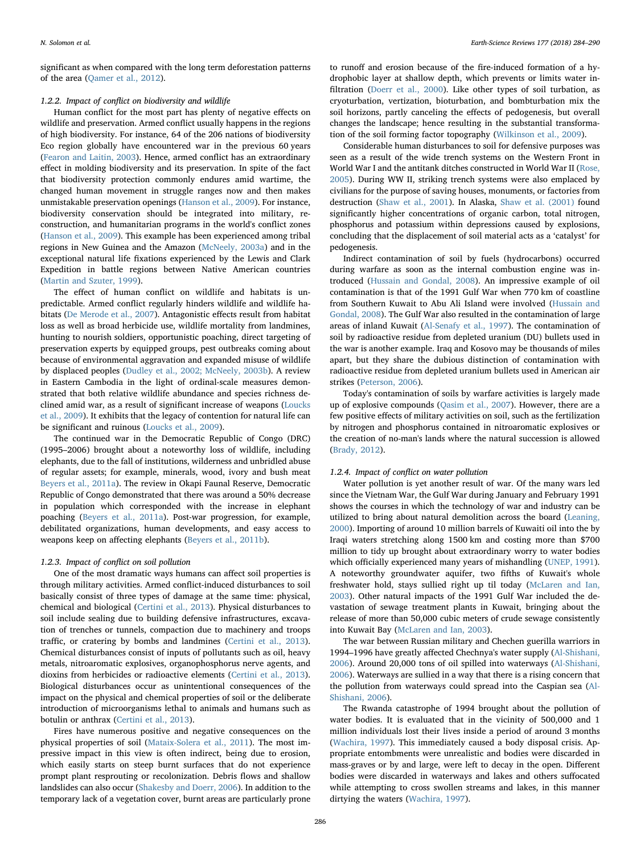significant as when compared with the long term deforestation patterns of the area ([Qamer et al., 2012\)](#page-6-19).

#### 1.2.2. Impact of conflict on biodiversity and wildlife

Human conflict for the most part has plenty of negative effects on wildlife and preservation. Armed conflict usually happens in the regions of high biodiversity. For instance, 64 of the 206 nations of biodiversity Eco region globally have encountered war in the previous 60 years ([Fearon and Laitin, 2003](#page-5-10)). Hence, armed conflict has an extraordinary effect in molding biodiversity and its preservation. In spite of the fact that biodiversity protection commonly endures amid wartime, the changed human movement in struggle ranges now and then makes unmistakable preservation openings ([Hanson et al., 2009\)](#page-6-20). For instance, biodiversity conservation should be integrated into military, reconstruction, and humanitarian programs in the world's conflict zones ([Hanson et al., 2009](#page-6-20)). This example has been experienced among tribal regions in New Guinea and the Amazon ([McNeely, 2003a\)](#page-6-21) and in the exceptional natural life fixations experienced by the Lewis and Clark Expedition in battle regions between Native American countries ([Martin and Szuter, 1999\)](#page-6-22).

The effect of human conflict on wildlife and habitats is unpredictable. Armed conflict regularly hinders wildlife and wildlife habitats [\(De Merode et al., 2007](#page-5-11)). Antagonistic effects result from habitat loss as well as broad herbicide use, wildlife mortality from landmines, hunting to nourish soldiers, opportunistic poaching, direct targeting of preservation experts by equipped groups, pest outbreaks coming about because of environmental aggravation and expanded misuse of wildlife by displaced peoples [\(Dudley et al., 2002; McNeely, 2003b\)](#page-5-12). A review in Eastern Cambodia in the light of ordinal-scale measures demonstrated that both relative wildlife abundance and species richness declined amid war, as a result of significant increase of weapons [\(Loucks](#page-6-23) [et al., 2009](#page-6-23)). It exhibits that the legacy of contention for natural life can be significant and ruinous ([Loucks et al., 2009\)](#page-6-23).

The continued war in the Democratic Republic of Congo (DRC) (1995–2006) brought about a noteworthy loss of wildlife, including elephants, due to the fall of institutions, wilderness and unbridled abuse of regular assets; for example, minerals, wood, ivory and bush meat [Beyers et al., 2011a\)](#page-5-13). The review in Okapi Faunal Reserve, Democratic Republic of Congo demonstrated that there was around a 50% decrease in population which corresponded with the increase in elephant poaching ([Beyers et al., 2011a\)](#page-5-13). Post-war progression, for example, debilitated organizations, human developments, and easy access to weapons keep on affecting elephants [\(Beyers et al., 2011b](#page-5-14)).

#### 1.2.3. Impact of conflict on soil pollution

One of the most dramatic ways humans can affect soil properties is through military activities. Armed conflict-induced disturbances to soil basically consist of three types of damage at the same time: physical, chemical and biological ([Certini et al., 2013](#page-5-15)). Physical disturbances to soil include sealing due to building defensive infrastructures, excavation of trenches or tunnels, compaction due to machinery and troops traffic, or cratering by bombs and landmines [\(Certini et al., 2013](#page-5-15)). Chemical disturbances consist of inputs of pollutants such as oil, heavy metals, nitroaromatic explosives, organophosphorus nerve agents, and dioxins from herbicides or radioactive elements ([Certini et al., 2013](#page-5-15)). Biological disturbances occur as unintentional consequences of the impact on the physical and chemical properties of soil or the deliberate introduction of microorganisms lethal to animals and humans such as botulin or anthrax [\(Certini et al., 2013\)](#page-5-15).

Fires have numerous positive and negative consequences on the physical properties of soil ([Mataix-Solera et al., 2011\)](#page-6-24). The most impressive impact in this view is often indirect, being due to erosion, which easily starts on steep burnt surfaces that do not experience prompt plant resprouting or recolonization. Debris flows and shallow landslides can also occur ([Shakesby and Doerr, 2006\)](#page-6-25). In addition to the temporary lack of a vegetation cover, burnt areas are particularly prone

to runoff and erosion because of the fire-induced formation of a hydrophobic layer at shallow depth, which prevents or limits water infiltration ([Doerr et al., 2000\)](#page-5-16). Like other types of soil turbation, as cryoturbation, vertization, bioturbation, and bombturbation mix the soil horizons, partly canceling the effects of pedogenesis, but overall changes the landscape; hence resulting in the substantial transformation of the soil forming factor topography [\(Wilkinson et al., 2009](#page-6-26)).

Considerable human disturbances to soil for defensive purposes was seen as a result of the wide trench systems on the Western Front in World War I and the antitank ditches constructed in World War II ([Rose,](#page-6-27) [2005\)](#page-6-27). During WW II, striking trench systems were also emplaced by civilians for the purpose of saving houses, monuments, or factories from destruction ([Shaw et al., 2001](#page-6-28)). In Alaska, [Shaw et al. \(2001\)](#page-6-28) found significantly higher concentrations of organic carbon, total nitrogen, phosphorus and potassium within depressions caused by explosions, concluding that the displacement of soil material acts as a 'catalyst' for pedogenesis.

Indirect contamination of soil by fuels (hydrocarbons) occurred during warfare as soon as the internal combustion engine was introduced [\(Hussain and Gondal, 2008\)](#page-6-29). An impressive example of oil contamination is that of the 1991 Gulf War when 770 km of coastline from Southern Kuwait to Abu Ali Island were involved [\(Hussain and](#page-6-29) [Gondal, 2008](#page-6-29)). The Gulf War also resulted in the contamination of large areas of inland Kuwait [\(Al-Senafy et al., 1997](#page-5-17)). The contamination of soil by radioactive residue from depleted uranium (DU) bullets used in the war is another example. Iraq and Kosovo may be thousands of miles apart, but they share the dubious distinction of contamination with radioactive residue from depleted uranium bullets used in American air strikes ([Peterson,](#page-6-30) 2006).

Today's contamination of soils by warfare activities is largely made up of explosive compounds [\(Qasim et al., 2007\)](#page-6-31). However, there are a few positive effects of military activities on soil, such as the fertilization by nitrogen and phosphorus contained in nitroaromatic explosives or the creation of no-man's lands where the natural succession is allowed ([Brady, 2012](#page-5-18)).

#### 1.2.4. Impact of conflict on water pollution

Water pollution is yet another result of war. Of the many wars led since the Vietnam War, the Gulf War during January and February 1991 shows the courses in which the technology of war and industry can be utilized to bring about natural demolition across the board ([Leaning,](#page-6-32) [2000\)](#page-6-32). Importing of around 10 million barrels of Kuwaiti oil into the by Iraqi waters stretching along 1500 km and costing more than \$700 million to tidy up brought about extraordinary worry to water bodies which officially experienced many years of mishandling [\(UNEP, 1991](#page-6-33)). A noteworthy groundwater aquifer, two fifths of Kuwait's whole freshwater hold, stays sullied right up til today [\(McLaren and Ian,](#page-6-34) [2003\)](#page-6-34). Other natural impacts of the 1991 Gulf War included the devastation of sewage treatment plants in Kuwait, bringing about the release of more than 50,000 cubic meters of crude sewage consistently into Kuwait Bay ([McLaren and Ian, 2003\)](#page-6-34).

The war between Russian military and Chechen guerilla warriors in 1994–1996 have greatly affected Chechnya's water supply [\(Al-Shishani,](#page-5-19) [2006\)](#page-5-19). Around 20,000 tons of oil spilled into waterways [\(Al-Shishani,](#page-5-19) [2006\)](#page-5-19). Waterways are sullied in a way that there is a rising concern that the pollution from waterways could spread into the Caspian sea [\(Al-](#page-5-19)[Shishani, 2006](#page-5-19)).

The Rwanda catastrophe of 1994 brought about the pollution of water bodies. It is evaluated that in the vicinity of 500,000 and 1 million individuals lost their lives inside a period of around 3 months ([Wachira, 1997](#page-6-35)). This immediately caused a body disposal crisis. Appropriate entombments were unrealistic and bodies were discarded in mass-graves or by and large, were left to decay in the open. Different bodies were discarded in waterways and lakes and others suffocated while attempting to cross swollen streams and lakes, in this manner dirtying the waters [\(Wachira, 1997](#page-6-35)).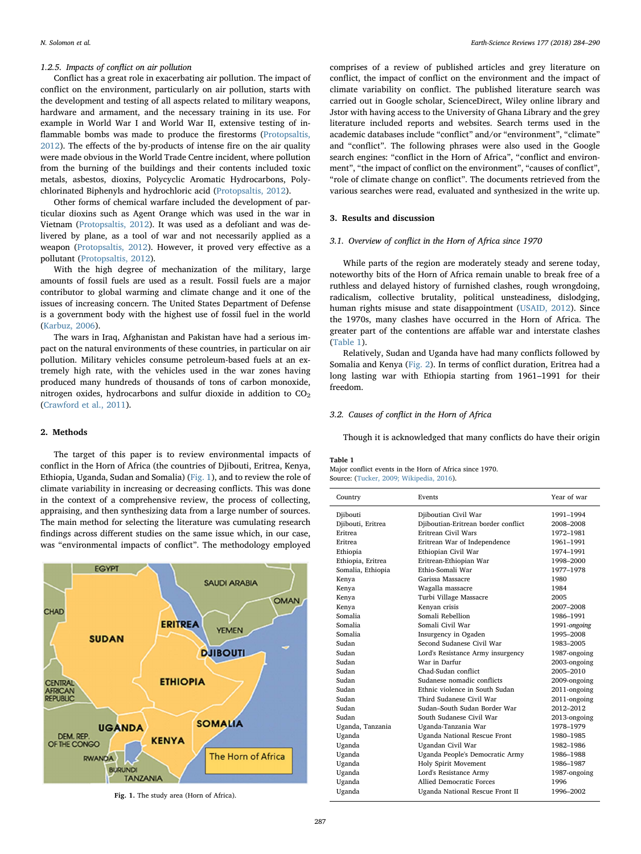#### 1.2.5. Impacts of conflict on air pollution

Conflict has a great role in exacerbating air pollution. The impact of conflict on the environment, particularly on air pollution, starts with the development and testing of all aspects related to military weapons, hardware and armament, and the necessary training in its use. For example in World War I and World War II, extensive testing of inflammable bombs was made to produce the firestorms ([Protopsaltis,](#page-6-36) [2012\)](#page-6-36). The effects of the by-products of intense fire on the air quality were made obvious in the World Trade Centre incident, where pollution from the burning of the buildings and their contents included toxic metals, asbestos, dioxins, Polycyclic Aromatic Hydrocarbons, Polychlorinated Biphenyls and hydrochloric acid [\(Protopsaltis, 2012\)](#page-6-36).

Other forms of chemical warfare included the development of particular dioxins such as Agent Orange which was used in the war in Vietnam ([Protopsaltis, 2012\)](#page-6-36). It was used as a defoliant and was delivered by plane, as a tool of war and not necessarily applied as a weapon ([Protopsaltis, 2012](#page-6-36)). However, it proved very effective as a pollutant [\(Protopsaltis, 2012\)](#page-6-36).

With the high degree of mechanization of the military, large amounts of fossil fuels are used as a result. Fossil fuels are a major contributor to global warming and climate change and it one of the issues of increasing concern. The United States Department of Defense is a government body with the highest use of fossil fuel in the world ([Karbuz, 2006](#page-6-37)).

The wars in Iraq, Afghanistan and Pakistan have had a serious impact on the natural environments of these countries, in particular on air pollution. Military vehicles consume petroleum-based fuels at an extremely high rate, with the vehicles used in the war zones having produced many hundreds of thousands of tons of carbon monoxide, nitrogen oxides, hydrocarbons and sulfur dioxide in addition to  $CO<sub>2</sub>$ ([Crawford et al., 2011\)](#page-5-20).

#### 2. Methods

The target of this paper is to review environmental impacts of conflict in the Horn of Africa (the countries of Djibouti, Eritrea, Kenya, Ethiopia, Uganda, Sudan and Somalia) ([Fig. 1](#page-3-0)), and to review the role of climate variability in increasing or decreasing conflicts. This was done in the context of a comprehensive review, the process of collecting, appraising, and then synthesizing data from a large number of sources. The main method for selecting the literature was cumulating research findings across different studies on the same issue which, in our case, was "environmental impacts of conflict". The methodology employed

<span id="page-3-0"></span>

Fig. 1. The study area (Horn of Africa).

comprises of a review of published articles and grey literature on conflict, the impact of conflict on the environment and the impact of climate variability on conflict. The published literature search was carried out in Google scholar, ScienceDirect, Wiley online library and Jstor with having access to the University of Ghana Library and the grey literature included reports and websites. Search terms used in the academic databases include "conflict" and/or "environment", "climate" and "conflict". The following phrases were also used in the Google search engines: "conflict in the Horn of Africa", "conflict and environment", "the impact of conflict on the environment", "causes of conflict", "role of climate change on conflict". The documents retrieved from the various searches were read, evaluated and synthesized in the write up.

### 3. Results and discussion

#### 3.1. Overview of conflict in the Horn of Africa since 1970

While parts of the region are moderately steady and serene today, noteworthy bits of the Horn of Africa remain unable to break free of a ruthless and delayed history of furnished clashes, rough wrongdoing, radicalism, collective brutality, political unsteadiness, dislodging, human rights misuse and state disappointment [\(USAID, 2012](#page-6-1)). Since the 1970s, many clashes have occurred in the Horn of Africa. The greater part of the contentions are affable war and interstate clashes ([Table 1](#page-3-1)).

Relatively, Sudan and Uganda have had many conflicts followed by Somalia and Kenya ([Fig. 2\)](#page-4-0). In terms of conflict duration, Eritrea had a long lasting war with Ethiopia starting from 1961–1991 for their freedom.

#### 3.2. Causes of conflict in the Horn of Africa

Though it is acknowledged that many conflicts do have their origin

#### <span id="page-3-1"></span>Table 1

Major conflict events in the Horn of Africa since 1970. Source: ([Tucker, 2009; Wikipedia, 2016](#page-6-38)).

| Country           | Events                              | Year of war  |
|-------------------|-------------------------------------|--------------|
| Djibouti          | Djiboutian Civil War                | 1991-1994    |
| Djibouti, Eritrea | Djiboutian-Eritrean border conflict | 2008-2008    |
| Eritrea           | Eritrean Civil Wars                 | 1972-1981    |
| <b>Fritrea</b>    | Eritrean War of Independence        | 1961-1991    |
| Ethiopia          | Ethiopian Civil War                 | 1974-1991    |
| Ethiopia, Eritrea | Eritrean-Ethiopian War              | 1998-2000    |
| Somalia, Ethiopia | Ethio-Somali War                    | 1977-1978    |
| Kenya             | Garissa Massacre                    | 1980         |
| Kenya             | Wagalla massacre                    | 1984         |
| Kenya             | Turbi Village Massacre              | 2005         |
| Kenya             | Kenyan crisis                       | 2007-2008    |
| Somalia           | Somali Rebellion                    | 1986-1991    |
| Somalia           | Somali Civil War                    | 1991-ongoing |
| Somalia           | Insurgency in Ogaden                | 1995-2008    |
| Sudan             | Second Sudanese Civil War           | 1983-2005    |
| Sudan             | Lord's Resistance Army insurgency   | 1987-ongoing |
| Sudan             | War in Darfur                       | 2003-ongoing |
| Sudan             | Chad-Sudan conflict                 | 2005-2010    |
| Sudan             | Sudanese nomadic conflicts          | 2009-ongoing |
| Sudan             | Ethnic violence in South Sudan      | 2011-ongoing |
| Sudan             | Third Sudanese Civil War            | 2011-ongoing |
| Sudan             | Sudan-South Sudan Border War        | 2012-2012    |
| Sudan             | South Sudanese Civil War            | 2013-ongoing |
| Uganda, Tanzania  | Uganda-Tanzania War                 | 1978-1979    |
| Uganda            | Uganda National Rescue Front        | 1980-1985    |
| Uganda            | Ugandan Civil War                   | 1982-1986    |
| Uganda            | Uganda People's Democratic Army     | 1986-1988    |
| Uganda            | Holy Spirit Movement                | 1986-1987    |
| Uganda            | Lord's Resistance Army              | 1987-ongoing |
| Uganda            | Allied Democratic Forces            | 1996         |
| Uganda            | Uganda National Rescue Front II     | 1996-2002    |
|                   |                                     |              |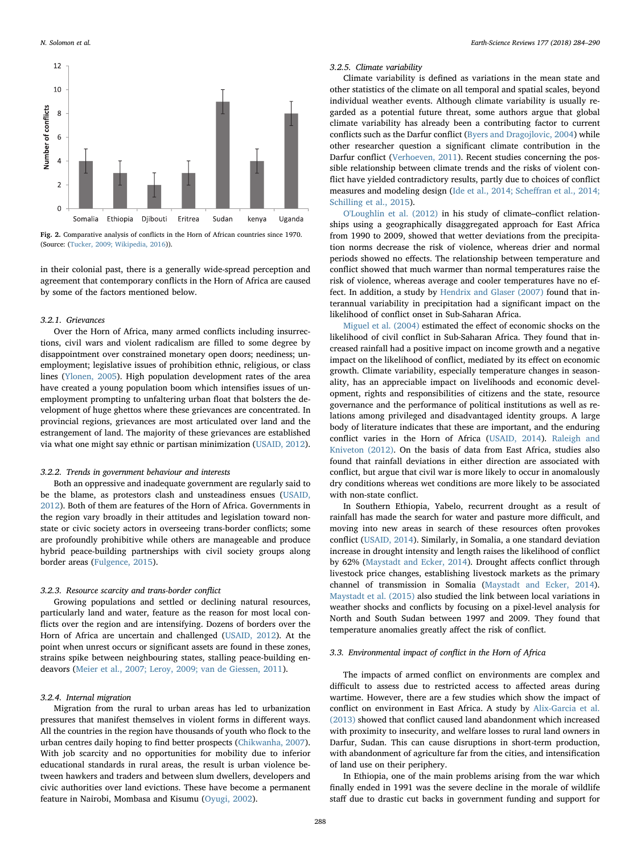<span id="page-4-0"></span>

Fig. 2. Comparative analysis of conflicts in the Horn of African countries since 1970. (Source: [\(Tucker, 2009; Wikipedia, 2016\)](#page-6-38)).

in their colonial past, there is a generally wide-spread perception and agreement that contemporary conflicts in the Horn of Africa are caused by some of the factors mentioned below.

#### 3.2.1. Grievances

Over the Horn of Africa, many armed conflicts including insurrections, civil wars and violent radicalism are filled to some degree by disappointment over constrained monetary open doors; neediness; unemployment; legislative issues of prohibition ethnic, religious, or class lines [\(Ylonen, 2005\)](#page-6-39). High population development rates of the area have created a young population boom which intensifies issues of unemployment prompting to unfaltering urban float that bolsters the development of huge ghettos where these grievances are concentrated. In provincial regions, grievances are most articulated over land and the estrangement of land. The majority of these grievances are established via what one might say ethnic or partisan minimization ([USAID, 2012](#page-6-1)).

#### 3.2.2. Trends in government behaviour and interests

Both an oppressive and inadequate government are regularly said to be the blame, as protestors clash and unsteadiness ensues [\(USAID,](#page-6-1) [2012\)](#page-6-1). Both of them are features of the Horn of Africa. Governments in the region vary broadly in their attitudes and legislation toward nonstate or civic society actors in overseeing trans-border conflicts; some are profoundly prohibitive while others are manageable and produce hybrid peace-building partnerships with civil society groups along border areas ([Fulgence, 2015\)](#page-5-21).

#### 3.2.3. Resource scarcity and trans-border conflict

Growing populations and settled or declining natural resources, particularly land and water, feature as the reason for most local conflicts over the region and are intensifying. Dozens of borders over the Horn of Africa are uncertain and challenged [\(USAID, 2012\)](#page-6-1). At the point when unrest occurs or significant assets are found in these zones, strains spike between neighbouring states, stalling peace-building endeavors ([Meier et al., 2007; Leroy, 2009; van de Giessen, 2011\)](#page-6-40).

#### 3.2.4. Internal migration

Migration from the rural to urban areas has led to urbanization pressures that manifest themselves in violent forms in different ways. All the countries in the region have thousands of youth who flock to the urban centres daily hoping to find better prospects [\(Chikwanha, 2007](#page-5-22)). With job scarcity and no opportunities for mobility due to inferior educational standards in rural areas, the result is urban violence between hawkers and traders and between slum dwellers, developers and civic authorities over land evictions. These have become a permanent feature in Nairobi, Mombasa and Kisumu [\(Oyugi, 2002](#page-6-41)).

#### 3.2.5. Climate variability

Climate variability is defined as variations in the mean state and other statistics of the climate on all temporal and spatial scales, beyond individual weather events. Although climate variability is usually regarded as a potential future threat, some authors argue that global climate variability has already been a contributing factor to current conflicts such as the Darfur conflict [\(Byers and Dragojlovic, 2004](#page-5-23)) while other researcher question a significant climate contribution in the Darfur conflict ([Verhoeven,](#page-6-42) 2011). Recent studies concerning the possible relationship between climate trends and the risks of violent conflict have yielded contradictory results, partly due to choices of conflict measures and modeling design ([Ide et al., 2014; Sche](#page-6-43)ffran et al., 2014; [Schilling et al., 2015\)](#page-6-43).

[O'Loughlin et al. \(2012\)](#page-6-44) in his study of climate–conflict relationships using a geographically disaggregated approach for East Africa from 1990 to 2009, showed that wetter deviations from the precipitation norms decrease the risk of violence, whereas drier and normal periods showed no effects. The relationship between temperature and conflict showed that much warmer than normal temperatures raise the risk of violence, whereas average and cooler temperatures have no effect. In addition, a study by [Hendrix and Glaser \(2007\)](#page-6-45) found that interannual variability in precipitation had a significant impact on the likelihood of conflict onset in Sub-Saharan Africa.

[Miguel et al. \(2004\)](#page-6-46) estimated the effect of economic shocks on the likelihood of civil conflict in Sub-Saharan Africa. They found that increased rainfall had a positive impact on income growth and a negative impact on the likelihood of conflict, mediated by its effect on economic growth. Climate variability, especially temperature changes in seasonality, has an appreciable impact on livelihoods and economic development, rights and responsibilities of citizens and the state, resource governance and the performance of political institutions as well as relations among privileged and disadvantaged identity groups. A large body of literature indicates that these are important, and the enduring conflict varies in the Horn of Africa ([USAID, 2014](#page-6-47)). [Raleigh and](#page-6-48) [Kniveton \(2012\).](#page-6-48) On the basis of data from East Africa, studies also found that rainfall deviations in either direction are associated with conflict, but argue that civil war is more likely to occur in anomalously dry conditions whereas wet conditions are more likely to be associated with non-state conflict.

In Southern Ethiopia, Yabelo, recurrent drought as a result of rainfall has made the search for water and pasture more difficult, and moving into new areas in search of these resources often provokes conflict [\(USAID, 2014](#page-6-47)). Similarly, in Somalia, a one standard deviation increase in drought intensity and length raises the likelihood of conflict by 62% [\(Maystadt and Ecker, 2014](#page-6-49)). Drought affects conflict through livestock price changes, establishing livestock markets as the primary channel of transmission in Somalia ([Maystadt and Ecker, 2014](#page-6-49)). [Maystadt et al. \(2015\)](#page-6-50) also studied the link between local variations in weather shocks and conflicts by focusing on a pixel-level analysis for North and South Sudan between 1997 and 2009. They found that temperature anomalies greatly affect the risk of conflict.

#### 3.3. Environmental impact of conflict in the Horn of Africa

The impacts of armed conflict on environments are complex and difficult to assess due to restricted access to affected areas during wartime. However, there are a few studies which show the impact of conflict on environment in East Africa. A study by [Alix-Garcia et al.](#page-5-24) [\(2013\)](#page-5-24) showed that conflict caused land abandonment which increased with proximity to insecurity, and welfare losses to rural land owners in Darfur, Sudan. This can cause disruptions in short-term production, with abandonment of agriculture far from the cities, and intensification of land use on their periphery.

In Ethiopia, one of the main problems arising from the war which finally ended in 1991 was the severe decline in the morale of wildlife staff due to drastic cut backs in government funding and support for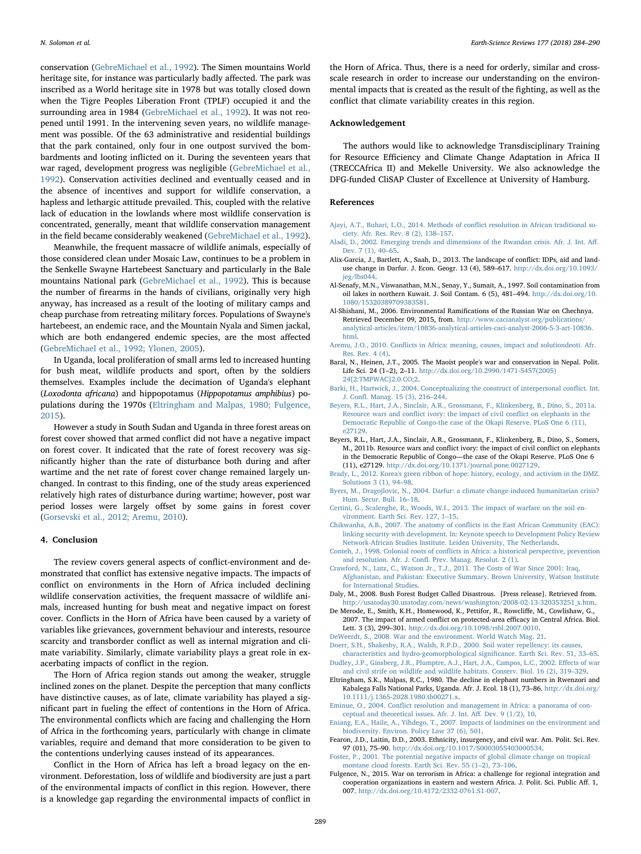conservation [\(GebreMichael et al., 1992\)](#page-6-51). The Simen mountains World heritage site, for instance was particularly badly affected. The park was inscribed as a World heritage site in 1978 but was totally closed down when the Tigre Peoples Liberation Front (TPLF) occupied it and the surrounding area in 1984 ([GebreMichael et al., 1992\)](#page-6-51). It was not reopened until 1991. In the intervening seven years, no wildlife management was possible. Of the 63 administrative and residential buildings that the park contained, only four in one outpost survived the bombardments and looting inflicted on it. During the seventeen years that war raged, development progress was negligible ([GebreMichael et al.,](#page-6-51) [1992\)](#page-6-51). Conservation activities declined and eventually ceased and in the absence of incentives and support for wildlife conservation, a hapless and lethargic attitude prevailed. This, coupled with the relative lack of education in the lowlands where most wildlife conservation is concentrated, generally, meant that wildlife conservation management in the field became considerably weakened [\(GebreMichael et al., 1992](#page-6-51)).

Meanwhile, the frequent massacre of wildlife animals, especially of those considered clean under Mosaic Law, continues to be a problem in the Senkelle Swayne Hartebeest Sanctuary and particularly in the Bale mountains National park ([GebreMichael et al., 1992](#page-6-51)). This is because the number of firearms in the hands of civilians, originally very high anyway, has increased as a result of the looting of military camps and cheap purchase from retreating military forces. Populations of Swayne's hartebeest, an endemic race, and the Mountain Nyala and Simen jackal, which are both endangered endemic species, are the most affected ([GebreMichael et al., 1992; Ylonen, 2005](#page-6-51)).

In Uganda, local proliferation of small arms led to increased hunting for bush meat, wildlife products and sport, often by the soldiers themselves. Examples include the decimation of Uganda's elephant (Loxodonta africana) and hippopotamus (Hippopotamus amphibius) populations during the 1970s ([Eltringham and Malpas, 1980; Fulgence,](#page-5-25) [2015\)](#page-5-25).

However a study in South Sudan and Uganda in three forest areas on forest cover showed that armed conflict did not have a negative impact on forest cover. It indicated that the rate of forest recovery was significantly higher than the rate of disturbance both during and after wartime and the net rate of forest cover change remained largely unchanged. In contrast to this finding, one of the study areas experienced relatively high rates of disturbance during wartime; however, post war period losses were largely offset by some gains in forest cover ([Gorsevski et al., 2012; Aremu, 2010\)](#page-6-52).

#### 4. Conclusion

The review covers general aspects of conflict-environment and demonstrated that conflict has extensive negative impacts. The impacts of conflict on environments in the Horn of Africa included declining wildlife conservation activities, the frequent massacre of wildlife animals, increased hunting for bush meat and negative impact on forest cover. Conflicts in the Horn of Africa have been caused by a variety of variables like grievances, government behaviour and interests, resource scarcity and transborder conflict as well as internal migration and climate variability. Similarly, climate variability plays a great role in exacerbating impacts of conflict in the region.

The Horn of Africa region stands out among the weaker, struggle inclined zones on the planet. Despite the perception that many conflicts have distinctive causes, as of late, climate variability has played a significant part in fueling the effect of contentions in the Horn of Africa. The environmental conflicts which are facing and challenging the Horn of Africa in the forthcoming years, particularly with change in climate variables, require and demand that more consideration to be given to the contentions underlying causes instead of its appearances.

Conflict in the Horn of Africa has left a broad legacy on the environment. Deforestation, loss of wildlife and biodiversity are just a part of the environmental impacts of conflict in this region. However, there is a knowledge gap regarding the environmental impacts of conflict in

the Horn of Africa. Thus, there is a need for orderly, similar and crossscale research in order to increase our understanding on the environmental impacts that is created as the result of the fighting, as well as the conflict that climate variability creates in this region.

#### Acknowledgement

The authors would like to acknowledge Transdisciplinary Training for Resource Efficiency and Climate Change Adaptation in Africa II (TRECCAfrica II) and Mekelle University. We also acknowledge the DFG-funded CliSAP Cluster of Excellence at University of Hamburg.

#### References

- <span id="page-5-5"></span>[Ajayi, A.T., Buhari, L.O., 2014. Methods of con](http://refhub.elsevier.com/S0012-8252(17)30135-6/rf0005)flict resolution in African traditional so[ciety. Afr. Res. Rev. 8 \(2\), 138](http://refhub.elsevier.com/S0012-8252(17)30135-6/rf0005)–157.
- <span id="page-5-0"></span>[Aladi, D., 2002. Emerging trends and dimensions of the Rwandan crisis. Afr. J. Int. A](http://refhub.elsevier.com/S0012-8252(17)30135-6/rf0010)ff. [Dev. 7 \(1\), 40](http://refhub.elsevier.com/S0012-8252(17)30135-6/rf0010)–65.
- <span id="page-5-24"></span>Alix-Garcia, J., Bartlett, A., Saah, D., 2013. The landscape of conflict: IDPs, aid and landuse change in Darfur. J. Econ. Geogr. 13 (4), 589–617. [http://dx.doi.org/10.1093/](http://dx.doi.org/10.1093/jeg/lbs044) [jeg/lbs044.](http://dx.doi.org/10.1093/jeg/lbs044)
- <span id="page-5-17"></span>Al-Senafy, M.N., Viswanathan, M.N., Senay, Y., Sumait, A., 1997. Soil contamination from oil lakes in northern Kuwait. J. Soil Contam. 6 (5), 481–494. [http://dx.doi.org/10.](http://dx.doi.org/10.1080/15320389709383581) [1080/15320389709383581](http://dx.doi.org/10.1080/15320389709383581).
- <span id="page-5-19"></span>Al-Shishani, M., 2006. Environmental Ramifications of the Russian War on Chechnya. Retrieved December 09, 2015, from. [http://www.cacianalyst.org/publications/](http://www.cacianalyst.org/publications/analytical-articles/item/10836-analytical-articles-caci-analyst-2006-5-3-art-10836.html) [analytical-articles/item/10836-analytical-articles-caci-analyst-2006-5-3-art-10836.](http://www.cacianalyst.org/publications/analytical-articles/item/10836-analytical-articles-caci-analyst-2006-5-3-art-10836.html) [html.](http://www.cacianalyst.org/publications/analytical-articles/item/10836-analytical-articles-caci-analyst-2006-5-3-art-10836.html)
- <span id="page-5-1"></span>Aremu, J.O., 2010. Confl[icts in Africa: meaning, causes, impact and solutiondeoti. Afr.](http://refhub.elsevier.com/S0012-8252(17)30135-6/rf0030) [Res. Rev. 4 \(4\).](http://refhub.elsevier.com/S0012-8252(17)30135-6/rf0030)
- <span id="page-5-3"></span>Baral, N., Heinen, J.T., 2005. The Maoist people's war and conservation in Nepal. Polit. Life Sci. 24 (1–2), 2–11. [http://dx.doi.org/10.2990/1471-5457\(2005\)](http://dx.doi.org/10.2990/1471-5457(2005)24[2:TMPWAC]2.0.CO;2) [24\[2:TMPWAC\]2.0.CO;2.](http://dx.doi.org/10.2990/1471-5457(2005)24[2:TMPWAC]2.0.CO;2)
- <span id="page-5-4"></span>[Barki, H., Hartwick, J., 2004. Conceptualizing the construct of interpersonal con](http://refhub.elsevier.com/S0012-8252(17)30135-6/rf0040)flict. Int. J. Confl[. Manag. 15 \(3\), 216](http://refhub.elsevier.com/S0012-8252(17)30135-6/rf0040)–244.
- <span id="page-5-13"></span>[Beyers, R.L., Hart, J.A., Sinclair, A.R., Grossmann, F., Klinkenberg, B., Dino, S., 2011a.](http://refhub.elsevier.com/S0012-8252(17)30135-6/rf0045) Resource wars and confl[ict ivory: the impact of civil con](http://refhub.elsevier.com/S0012-8252(17)30135-6/rf0045)flict on elephants in the [Democratic Republic of Congo-the case of the Okapi Reserve. PLoS One 6 \(11\),](http://refhub.elsevier.com/S0012-8252(17)30135-6/rf0045) [e27129.](http://refhub.elsevier.com/S0012-8252(17)30135-6/rf0045)
- <span id="page-5-14"></span>Beyers, R.L., Hart, J.A., Sinclair, A.R., Grossmann, F., Klinkenberg, B., Dino, S., Somers, M., 2011b. Resource wars and conflict ivory: the impact of civil conflict on elephants in the Democratic Republic of Congo—the case of the Okapi Reserve. PLoS One 6 (11), e27129. [http://dx.doi.org/10.1371/journal.pone.0027129.](http://dx.doi.org/10.1371/journal.pone.0027129)
- <span id="page-5-18"></span>[Brady, L., 2012. Korea's green ribbon of hope: history, ecology, and activism in the DMZ.](http://refhub.elsevier.com/S0012-8252(17)30135-6/rf0055) [Solutions 3 \(1\), 94](http://refhub.elsevier.com/S0012-8252(17)30135-6/rf0055)–98.
- <span id="page-5-23"></span>[Byers, M., Dragojlovic, N., 2004. Darfur: a climate change-induced humanitarian crisis?](http://refhub.elsevier.com/S0012-8252(17)30135-6/rf0060) [Hum. Secur. Bull. 16](http://refhub.elsevier.com/S0012-8252(17)30135-6/rf0060)–18.
- <span id="page-5-15"></span>[Certini, G., Scalenghe, R., Woods, W.I., 2013. The impact of warfare on the soil en](http://refhub.elsevier.com/S0012-8252(17)30135-6/rf0065)[vironment. Earth Sci. Rev. 127, 1](http://refhub.elsevier.com/S0012-8252(17)30135-6/rf0065)–15.
- <span id="page-5-22"></span>[Chikwanha, A.B., 2007. The anatomy of con](http://refhub.elsevier.com/S0012-8252(17)30135-6/rf0070)flicts in the East African Community (EAC): [linking security with development. In: Keynote speech to Development Policy Review](http://refhub.elsevier.com/S0012-8252(17)30135-6/rf0070) [Network-African Studies Institute. Leiden University, The Netherlands](http://refhub.elsevier.com/S0012-8252(17)30135-6/rf0070).
- <span id="page-5-2"></span>Conteh, J., 1998. Colonial roots of confl[icts in Africa: a historical perspective, prevention](http://refhub.elsevier.com/S0012-8252(17)30135-6/rf0075) and resolution. Afr. J. Confl[. Prev. Manag. Resolut. 2 \(1\).](http://refhub.elsevier.com/S0012-8252(17)30135-6/rf0075)
- <span id="page-5-20"></span>[Crawford, N., Lutz, C., Watson Jr., T.J., 2011. The Costs of War Since 2001: Iraq,](http://refhub.elsevier.com/S0012-8252(17)30135-6/rf0080) [Afghanistan, and Pakistan: Executive Summary. Brown University, Watson Institute](http://refhub.elsevier.com/S0012-8252(17)30135-6/rf0080) [for International Studies.](http://refhub.elsevier.com/S0012-8252(17)30135-6/rf0080)
- <span id="page-5-8"></span>Daly, M., 2008. Bush Forest Budget Called Disastrous. [Press release]. Retrieved from. [http://usatoday30.usatoday.com/news/washington/2008-02-13-320353251\\_x.htm](http://usatoday30.usatoday.com/news/washington/2008-02-13-320353251_x.htm).
- <span id="page-5-11"></span>De Merode, E., Smith, K.H., Homewood, K., Pettifor, R., Rowcliffe, M., Cowlishaw, G., 2007. The impact of armed conflict on protected-area efficacy in Central Africa. Biol. Lett. 3 (3), 299–301. [http://dx.doi.org/10.1098/rsbl.2007.0010.](http://dx.doi.org/10.1098/rsbl.2007.0010)
- <span id="page-5-16"></span><span id="page-5-9"></span>[DeWeerdt, S., 2008. War and the environment. World Watch Mag. 21.](http://refhub.elsevier.com/S0012-8252(17)30135-6/rf0095) [Doerr, S.H., Shakesby, R.A., Walsh, R.P.D., 2000. Soil water repellency: its causes,](http://refhub.elsevier.com/S0012-8252(17)30135-6/rf0100)
- <span id="page-5-12"></span>[characteristics and hydro-geomorphological signi](http://refhub.elsevier.com/S0012-8252(17)30135-6/rf0100)ficance. Earth Sci. Rev. 51, 33–65. [Dudley, J.P., Ginsberg, J.R., Plumptre, A.J., Hart, J.A., Campos, L.C., 2002. E](http://refhub.elsevier.com/S0012-8252(17)30135-6/rf0105)ffects of war [and civil strife on wildlife and wildlife habitats. Conserv. Biol. 16 \(2\), 319](http://refhub.elsevier.com/S0012-8252(17)30135-6/rf0105)–329.
- <span id="page-5-25"></span>Eltringham, S.K., Malpas, R.C., 1980. The decline in elephant numbers in Rwenzori and Kabalega Falls National Parks, Uganda. Afr. J. Ecol. 18 (1), 73–86. [http://dx.doi.org/](http://dx.doi.org/10.1111/j.1365-2028.1980.tb00271.x) [10.1111/j.1365-2028.1980.tb00271.x.](http://dx.doi.org/10.1111/j.1365-2028.1980.tb00271.x)
- <span id="page-5-6"></span>Eminue, O., 2004. Confl[ict resolution and management in Africa: a panorama of con](http://refhub.elsevier.com/S0012-8252(17)30135-6/rf0115)[ceptual and theoretical issues. Afr. J. Int. A](http://refhub.elsevier.com/S0012-8252(17)30135-6/rf0115)ff. Dev. 9 (1/2), 10.
- [Eniang, E.A., Haile, A., Yihdego, T., 2007. Impacts of landmines on the environment and](http://refhub.elsevier.com/S0012-8252(17)30135-6/rf0120) [biodiversity. Environ. Policy Law 37 \(6\), 501.](http://refhub.elsevier.com/S0012-8252(17)30135-6/rf0120)
- <span id="page-5-10"></span>Fearon, J.D., Laitin, D.D., 2003. Ethnicity, insurgency, and civil war. Am. Polit. Sci. Rev. 97 (01), 75–90. [http://dx.doi.org/10.1017/S0003055403000534.](http://dx.doi.org/10.1017/S0003055403000534)
- <span id="page-5-7"></span>[Foster, P., 2001. The potential negative impacts of global climate change on tropical](http://refhub.elsevier.com/S0012-8252(17)30135-6/rf0130) [montane cloud forests. Earth Sci. Rev. 55 \(1](http://refhub.elsevier.com/S0012-8252(17)30135-6/rf0130)–2), 73–106.
- <span id="page-5-21"></span>Fulgence, N., 2015. War on terrorism in Africa: a challenge for regional integration and cooperation organizations in eastern and western Africa. J. Polit. Sci. Public Aff. 1, 007. <http://dx.doi.org/10.4172/2332-0761.S1-007>.